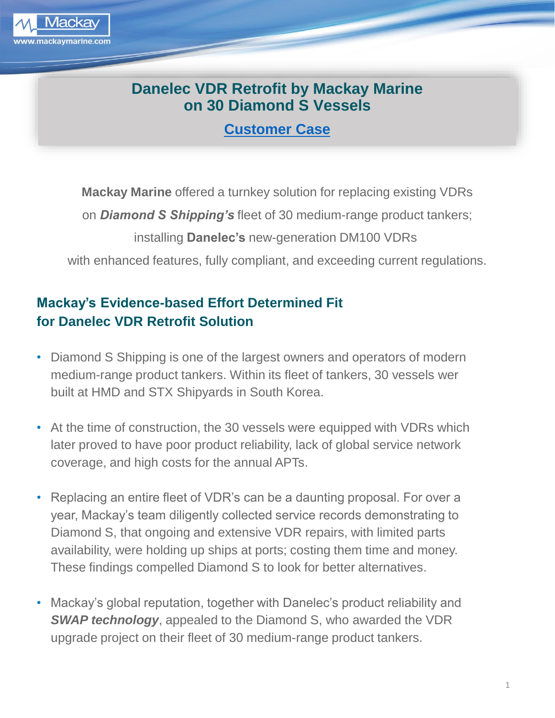

## **Danelec VDR Retrofit by Mackay Marine on 30 Diamond S Vessels**

**[Customer Case](https://www.danelec-marine.com/category/customer-cases/)**

**Mackay Marine** offered a turnkey solution for replacing existing VDRs on *Diamond S Shipping's* fleet of 30 medium-range product tankers; installing **Danelec's** new-generation DM100 VDRs with enhanced features, fully compliant, and exceeding current regulations.

## **Mackay's Evidence-based Effort Determined Fit for Danelec VDR Retrofit Solution**

- Diamond S Shipping is one of the largest owners and operators of modern medium-range product tankers. Within its fleet of tankers, 30 vessels wer built at HMD and STX Shipyards in South Korea.
- At the time of construction, the 30 vessels were equipped with VDRs which later proved to have poor product reliability, lack of global service network coverage, and high costs for the annual APTs.
- Replacing an entire fleet of VDR's can be a daunting proposal. For over a year, Mackay's team diligently collected service records demonstrating to Diamond S, that ongoing and extensive VDR repairs, with limited parts availability, were holding up ships at ports; costing them time and money. These findings compelled Diamond S to look for better alternatives.
- Mackay's global reputation, together with Danelec's product reliability and *SWAP technology*, appealed to the Diamond S, who awarded the VDR upgrade project on their fleet of 30 medium-range product tankers.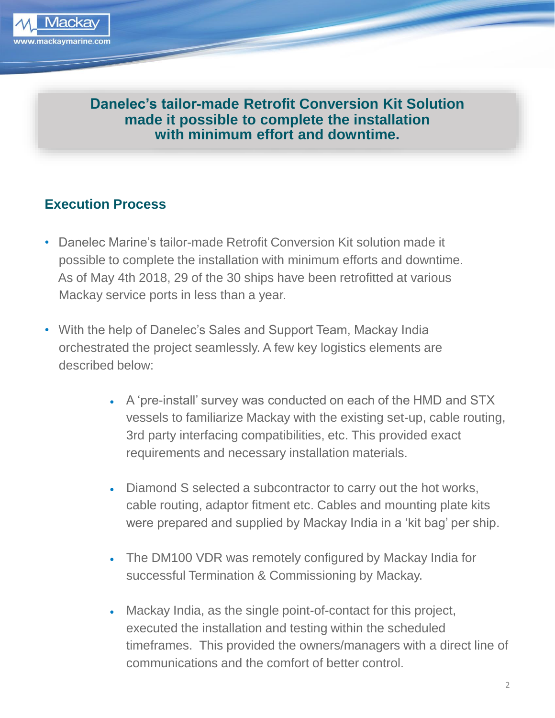

**Danelec's tailor-made Retrofit Conversion Kit Solution made it possible to complete the installation with minimum effort and downtime.**

## **Execution Process**

- Danelec Marine's tailor-made Retrofit Conversion Kit solution made it possible to complete the installation with minimum efforts and downtime. As of May 4th 2018, 29 of the 30 ships have been retrofitted at various Mackay service ports in less than a year.
- With the help of Danelec's Sales and Support Team, Mackay India orchestrated the project seamlessly. A few key logistics elements are described below:
	- A 'pre-install' survey was conducted on each of the HMD and STX vessels to familiarize Mackay with the existing set-up, cable routing, 3rd party interfacing compatibilities, etc. This provided exact requirements and necessary installation materials.
	- Diamond S selected a subcontractor to carry out the hot works, cable routing, adaptor fitment etc. Cables and mounting plate kits were prepared and supplied by Mackay India in a 'kit bag' per ship.
	- The DM100 VDR was remotely configured by Mackay India for successful Termination & Commissioning by Mackay.
	- Mackay India, as the single point-of-contact for this project, executed the installation and testing within the scheduled timeframes. This provided the owners/managers with a direct line of communications and the comfort of better control.